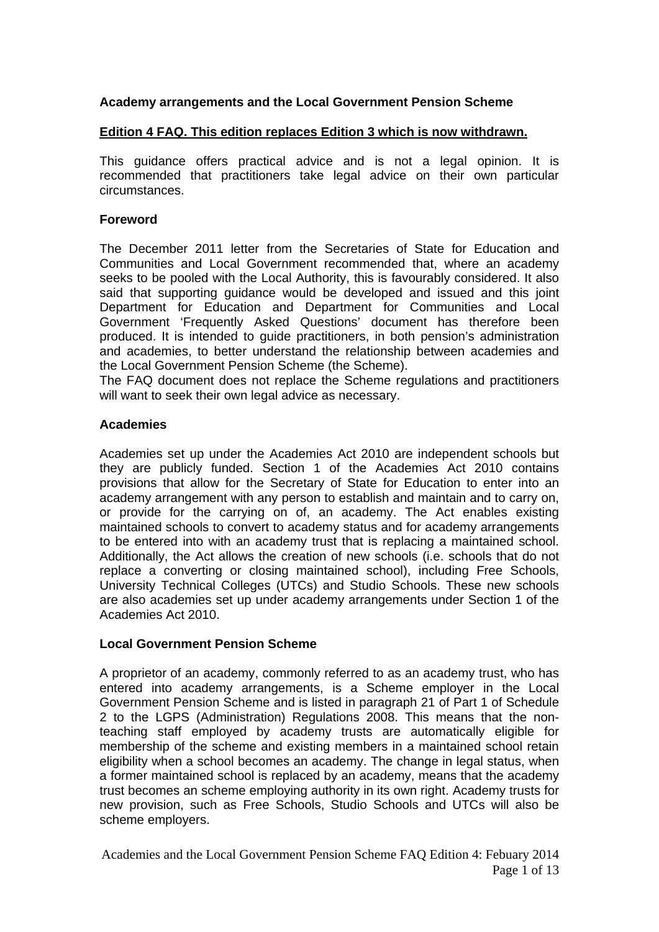### **Academy arrangements and the Local Government Pension Scheme**

### **Edition 4 FAQ. This edition replaces Edition 3 which is now withdrawn.**

This guidance offers practical advice and is not a legal opinion. It is recommended that practitioners take legal advice on their own particular circumstances.

#### **Foreword**

The December 2011 letter from the Secretaries of State for Education and Communities and Local Government recommended that, where an academy seeks to be pooled with the Local Authority, this is favourably considered. It also said that supporting guidance would be developed and issued and this joint Department for Education and Department for Communities and Local Government 'Frequently Asked Questions' document has therefore been produced. It is intended to guide practitioners, in both pension's administration and academies, to better understand the relationship between academies and the Local Government Pension Scheme (the Scheme).

The FAQ document does not replace the Scheme regulations and practitioners will want to seek their own legal advice as necessary.

### **Academies**

Academies set up under the Academies Act 2010 are independent schools but they are publicly funded. Section 1 of the Academies Act 2010 contains provisions that allow for the Secretary of State for Education to enter into an academy arrangement with any person to establish and maintain and to carry on, or provide for the carrying on of, an academy. The Act enables existing maintained schools to convert to academy status and for academy arrangements to be entered into with an academy trust that is replacing a maintained school. Additionally, the Act allows the creation of new schools (i.e. schools that do not replace a converting or closing maintained school), including Free Schools, University Technical Colleges (UTCs) and Studio Schools. These new schools are also academies set up under academy arrangements under Section 1 of the Academies Act 2010.

### **Local Government Pension Scheme**

A proprietor of an academy, commonly referred to as an academy trust, who has entered into academy arrangements, is a Scheme employer in the Local Government Pension Scheme and is listed in paragraph 21 of Part 1 of Schedule 2 to the LGPS (Administration) Regulations 2008. This means that the nonteaching staff employed by academy trusts are automatically eligible for membership of the scheme and existing members in a maintained school retain eligibility when a school becomes an academy. The change in legal status, when a former maintained school is replaced by an academy, means that the academy trust becomes an scheme employing authority in its own right. Academy trusts for new provision, such as Free Schools, Studio Schools and UTCs will also be scheme employers.

Academies and the Local Government Pension Scheme FAQ Edition 4: Febuary 2014 Page 1 of 13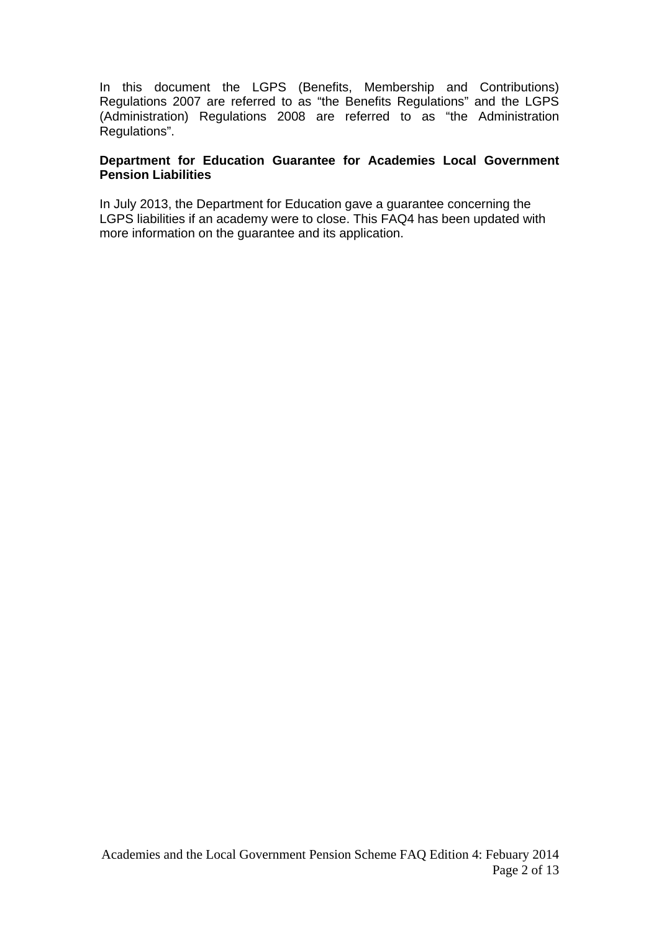In this document the LGPS (Benefits, Membership and Contributions) Regulations 2007 are referred to as "the Benefits Regulations" and the LGPS (Administration) Regulations 2008 are referred to as "the Administration Regulations".

### **Department for Education Guarantee for Academies Local Government Pension Liabilities**

In July 2013, the Department for Education gave a guarantee concerning the LGPS liabilities if an academy were to close. This FAQ4 has been updated with more information on the guarantee and its application.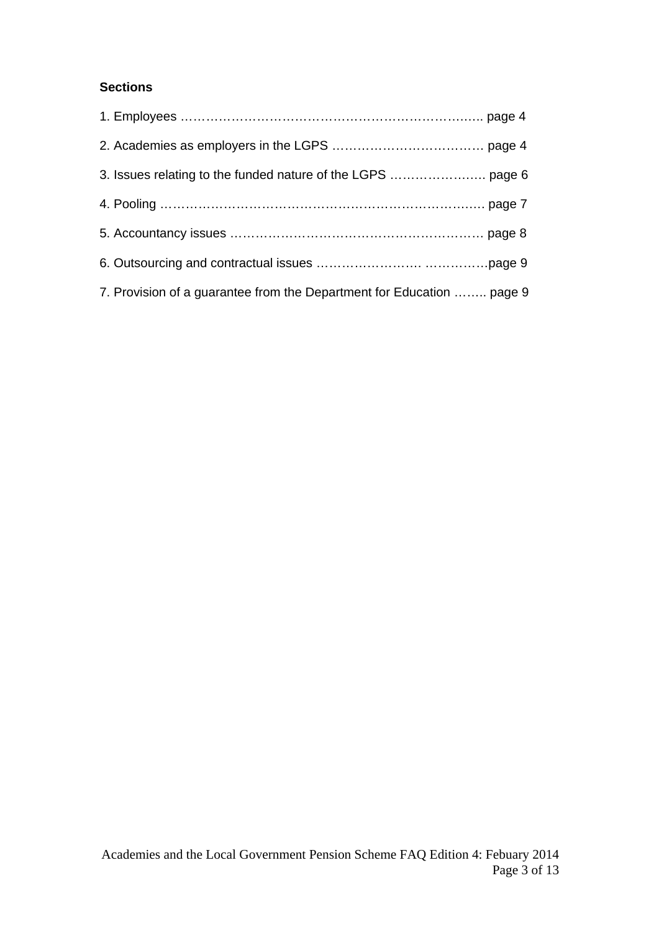# **Sections**

| 7. Provision of a guarantee from the Department for Education  page 9 |  |
|-----------------------------------------------------------------------|--|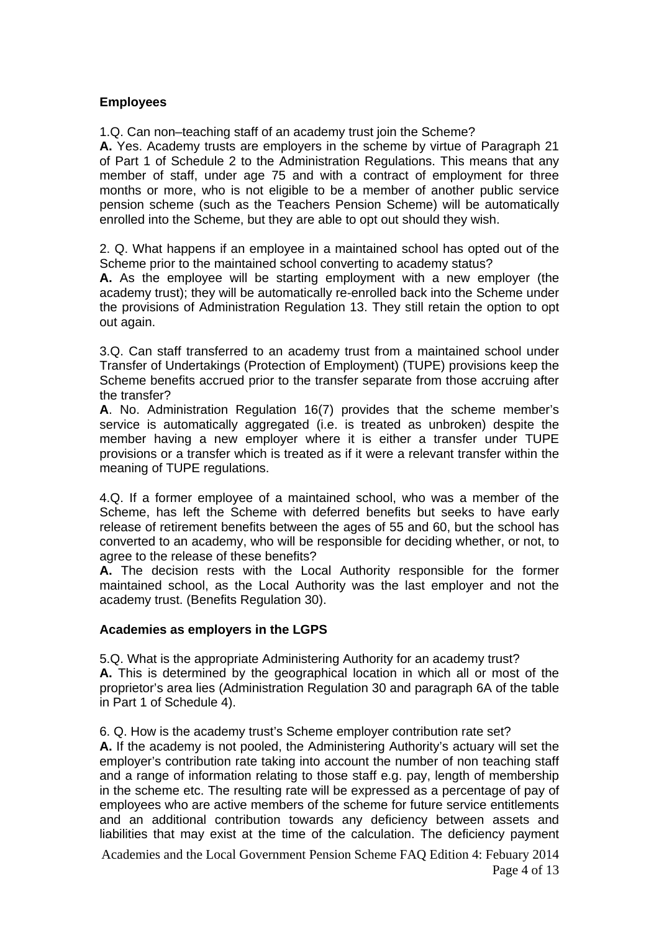### **Employees**

1.Q. Can non–teaching staff of an academy trust join the Scheme?

**A.** Yes. Academy trusts are employers in the scheme by virtue of Paragraph 21 of Part 1 of Schedule 2 to the Administration Regulations. This means that any member of staff, under age 75 and with a contract of employment for three months or more, who is not eligible to be a member of another public service pension scheme (such as the Teachers Pension Scheme) will be automatically enrolled into the Scheme, but they are able to opt out should they wish.

2. Q. What happens if an employee in a maintained school has opted out of the Scheme prior to the maintained school converting to academy status?

**A.** As the employee will be starting employment with a new employer (the academy trust); they will be automatically re-enrolled back into the Scheme under the provisions of Administration Regulation 13. They still retain the option to opt out again.

3.Q. Can staff transferred to an academy trust from a maintained school under Transfer of Undertakings (Protection of Employment) (TUPE) provisions keep the Scheme benefits accrued prior to the transfer separate from those accruing after the transfer?

**A**. No. Administration Regulation 16(7) provides that the scheme member's service is automatically aggregated (i.e. is treated as unbroken) despite the member having a new employer where it is either a transfer under TUPE provisions or a transfer which is treated as if it were a relevant transfer within the meaning of TUPE regulations.

4.Q. If a former employee of a maintained school, who was a member of the Scheme, has left the Scheme with deferred benefits but seeks to have early release of retirement benefits between the ages of 55 and 60, but the school has converted to an academy, who will be responsible for deciding whether, or not, to agree to the release of these benefits?

**A.** The decision rests with the Local Authority responsible for the former maintained school, as the Local Authority was the last employer and not the academy trust. (Benefits Regulation 30).

### **Academies as employers in the LGPS**

5.Q. What is the appropriate Administering Authority for an academy trust? **A.** This is determined by the geographical location in which all or most of the proprietor's area lies (Administration Regulation 30 and paragraph 6A of the table in Part 1 of Schedule 4).

6. Q. How is the academy trust's Scheme employer contribution rate set?

**A.** If the academy is not pooled, the Administering Authority's actuary will set the employer's contribution rate taking into account the number of non teaching staff and a range of information relating to those staff e.g. pay, length of membership in the scheme etc. The resulting rate will be expressed as a percentage of pay of employees who are active members of the scheme for future service entitlements and an additional contribution towards any deficiency between assets and liabilities that may exist at the time of the calculation. The deficiency payment

Academies and the Local Government Pension Scheme FAQ Edition 4: Febuary 2014 Page 4 of 13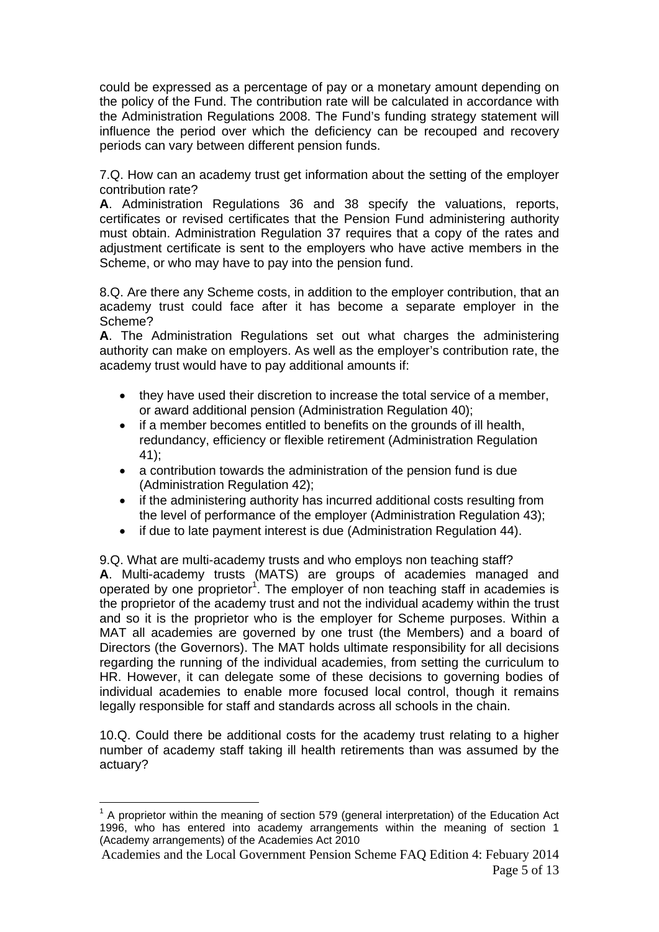could be expressed as a percentage of pay or a monetary amount depending on the policy of the Fund. The contribution rate will be calculated in accordance with the Administration Regulations 2008. The Fund's funding strategy statement will influence the period over which the deficiency can be recouped and recovery periods can vary between different pension funds.

7.Q. How can an academy trust get information about the setting of the employer contribution rate?

**A**. Administration Regulations 36 and 38 specify the valuations, reports, certificates or revised certificates that the Pension Fund administering authority must obtain. Administration Regulation 37 requires that a copy of the rates and adjustment certificate is sent to the employers who have active members in the Scheme, or who may have to pay into the pension fund.

8.Q. Are there any Scheme costs, in addition to the employer contribution, that an academy trust could face after it has become a separate employer in the Scheme?

**A**. The Administration Regulations set out what charges the administering authority can make on employers. As well as the employer's contribution rate, the academy trust would have to pay additional amounts if:

- they have used their discretion to increase the total service of a member, or award additional pension (Administration Regulation 40);
- if a member becomes entitled to benefits on the grounds of ill health, redundancy, efficiency or flexible retirement (Administration Regulation 41);
- a contribution towards the administration of the pension fund is due (Administration Regulation 42);
- if the administering authority has incurred additional costs resulting from the level of performance of the employer (Administration Regulation 43);
- if due to late payment interest is due (Administration Regulation 44).

9.Q. What are multi-academy trusts and who employs non teaching staff? **A**. Multi-academy trusts (MATS) are groups of academies managed and operated by one proprietor<sup>1</sup>. The employer of non teaching staff in academies is the proprietor of the academy trust and not the individual academy within the trust and so it is the proprietor who is the employer for Scheme purposes. Within a MAT all academies are governed by one trust (the Members) and a board of Directors (the Governors). The MAT holds ultimate responsibility for all decisions regarding the running of the individual academies, from setting the curriculum to HR. However, it can delegate some of these decisions to governing bodies of individual academies to enable more focused local control, though it remains legally responsible for staff and standards across all schools in the chain.

10.Q. Could there be additional costs for the academy trust relating to a higher number of academy staff taking ill health retirements than was assumed by the actuary?

<sup>1</sup>  $1$  A proprietor within the meaning of section 579 (general interpretation) of the Education Act 1996, who has entered into academy arrangements within the meaning of section 1 (Academy arrangements) of the Academies Act 2010

Academies and the Local Government Pension Scheme FAQ Edition 4: Febuary 2014 Page 5 of 13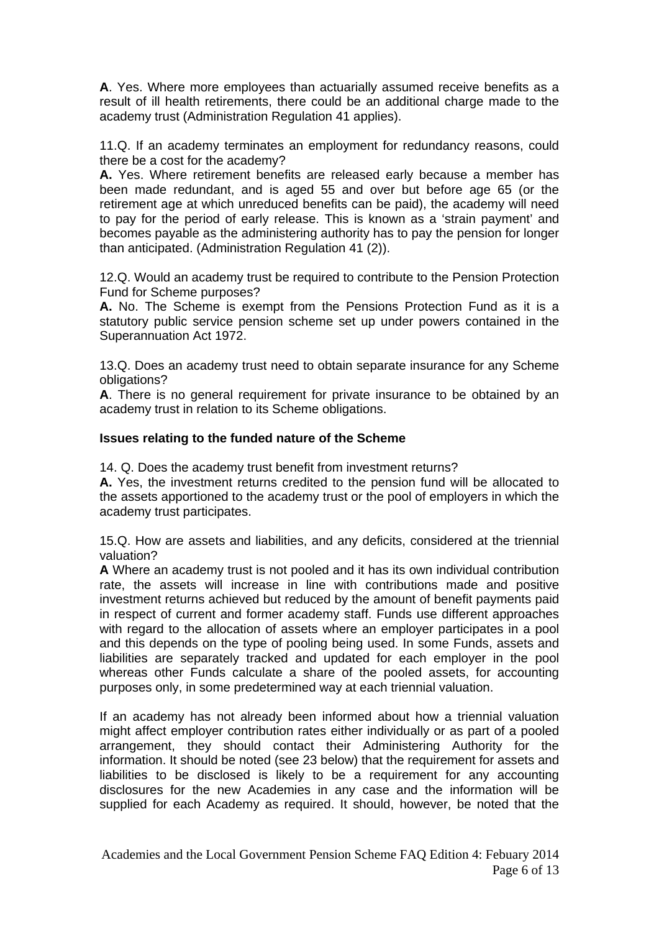**A**. Yes. Where more employees than actuarially assumed receive benefits as a result of ill health retirements, there could be an additional charge made to the academy trust (Administration Regulation 41 applies).

11.Q. If an academy terminates an employment for redundancy reasons, could there be a cost for the academy?

**A.** Yes. Where retirement benefits are released early because a member has been made redundant, and is aged 55 and over but before age 65 (or the retirement age at which unreduced benefits can be paid), the academy will need to pay for the period of early release. This is known as a 'strain payment' and becomes payable as the administering authority has to pay the pension for longer than anticipated. (Administration Regulation 41 (2)).

12.Q. Would an academy trust be required to contribute to the Pension Protection Fund for Scheme purposes?

**A.** No. The Scheme is exempt from the Pensions Protection Fund as it is a statutory public service pension scheme set up under powers contained in the Superannuation Act 1972.

13.Q. Does an academy trust need to obtain separate insurance for any Scheme obligations?

**A**. There is no general requirement for private insurance to be obtained by an academy trust in relation to its Scheme obligations.

### **Issues relating to the funded nature of the Scheme**

14. Q. Does the academy trust benefit from investment returns?

**A.** Yes, the investment returns credited to the pension fund will be allocated to the assets apportioned to the academy trust or the pool of employers in which the academy trust participates.

15.Q. How are assets and liabilities, and any deficits, considered at the triennial valuation?

**A** Where an academy trust is not pooled and it has its own individual contribution rate, the assets will increase in line with contributions made and positive investment returns achieved but reduced by the amount of benefit payments paid in respect of current and former academy staff. Funds use different approaches with regard to the allocation of assets where an employer participates in a pool and this depends on the type of pooling being used. In some Funds, assets and liabilities are separately tracked and updated for each employer in the pool whereas other Funds calculate a share of the pooled assets, for accounting purposes only, in some predetermined way at each triennial valuation.

If an academy has not already been informed about how a triennial valuation might affect employer contribution rates either individually or as part of a pooled arrangement, they should contact their Administering Authority for the information. It should be noted (see 23 below) that the requirement for assets and liabilities to be disclosed is likely to be a requirement for any accounting disclosures for the new Academies in any case and the information will be supplied for each Academy as required. It should, however, be noted that the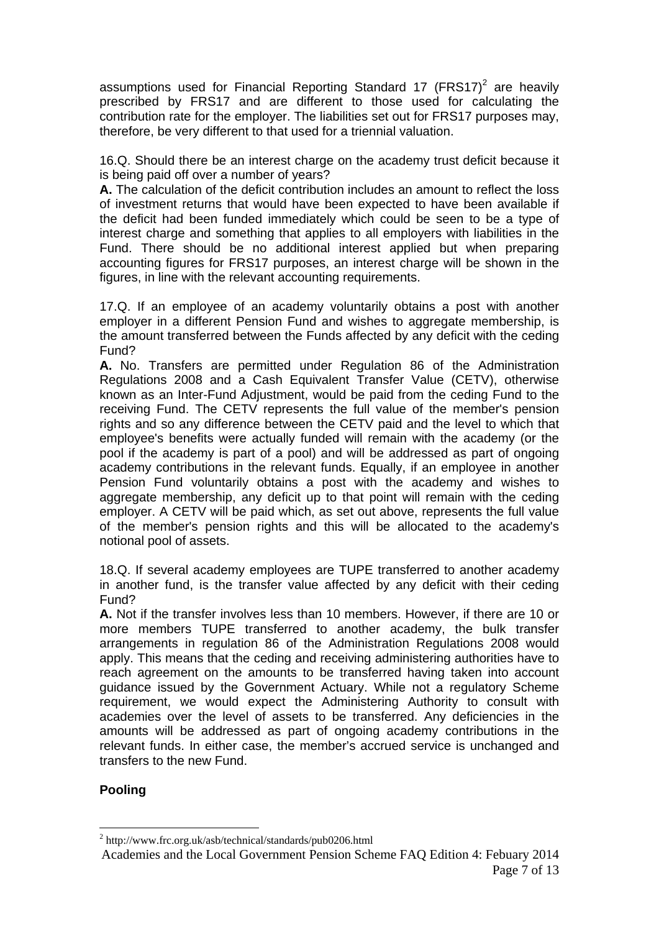assumptions used for Financial Reporting Standard 17 (FRS17)<sup>2</sup> are heavily prescribed by FRS17 and are different to those used for calculating the contribution rate for the employer. The liabilities set out for FRS17 purposes may, therefore, be very different to that used for a triennial valuation.

16.Q. Should there be an interest charge on the academy trust deficit because it is being paid off over a number of years?

**A.** The calculation of the deficit contribution includes an amount to reflect the loss of investment returns that would have been expected to have been available if the deficit had been funded immediately which could be seen to be a type of interest charge and something that applies to all employers with liabilities in the Fund. There should be no additional interest applied but when preparing accounting figures for FRS17 purposes, an interest charge will be shown in the figures, in line with the relevant accounting requirements.

17.Q. If an employee of an academy voluntarily obtains a post with another employer in a different Pension Fund and wishes to aggregate membership, is the amount transferred between the Funds affected by any deficit with the ceding Fund?

**A.** No. Transfers are permitted under Regulation 86 of the Administration Regulations 2008 and a Cash Equivalent Transfer Value (CETV), otherwise known as an Inter-Fund Adjustment, would be paid from the ceding Fund to the receiving Fund. The CETV represents the full value of the member's pension rights and so any difference between the CETV paid and the level to which that employee's benefits were actually funded will remain with the academy (or the pool if the academy is part of a pool) and will be addressed as part of ongoing academy contributions in the relevant funds. Equally, if an employee in another Pension Fund voluntarily obtains a post with the academy and wishes to aggregate membership, any deficit up to that point will remain with the ceding employer. A CETV will be paid which, as set out above, represents the full value of the member's pension rights and this will be allocated to the academy's notional pool of assets.

18.Q. If several academy employees are TUPE transferred to another academy in another fund, is the transfer value affected by any deficit with their ceding Fund?

**A.** Not if the transfer involves less than 10 members. However, if there are 10 or more members TUPE transferred to another academy, the bulk transfer arrangements in regulation 86 of the Administration Regulations 2008 would apply. This means that the ceding and receiving administering authorities have to reach agreement on the amounts to be transferred having taken into account guidance issued by the Government Actuary. While not a regulatory Scheme requirement, we would expect the Administering Authority to consult with academies over the level of assets to be transferred. Any deficiencies in the amounts will be addressed as part of ongoing academy contributions in the relevant funds. In either case, the member's accrued service is unchanged and transfers to the new Fund.

# **Pooling**

<u>.</u>

<sup>&</sup>lt;sup>2</sup> http://www.frc.org.uk/asb/technical/standards/pub0206.html

Academies and the Local Government Pension Scheme FAQ Edition 4: Febuary 2014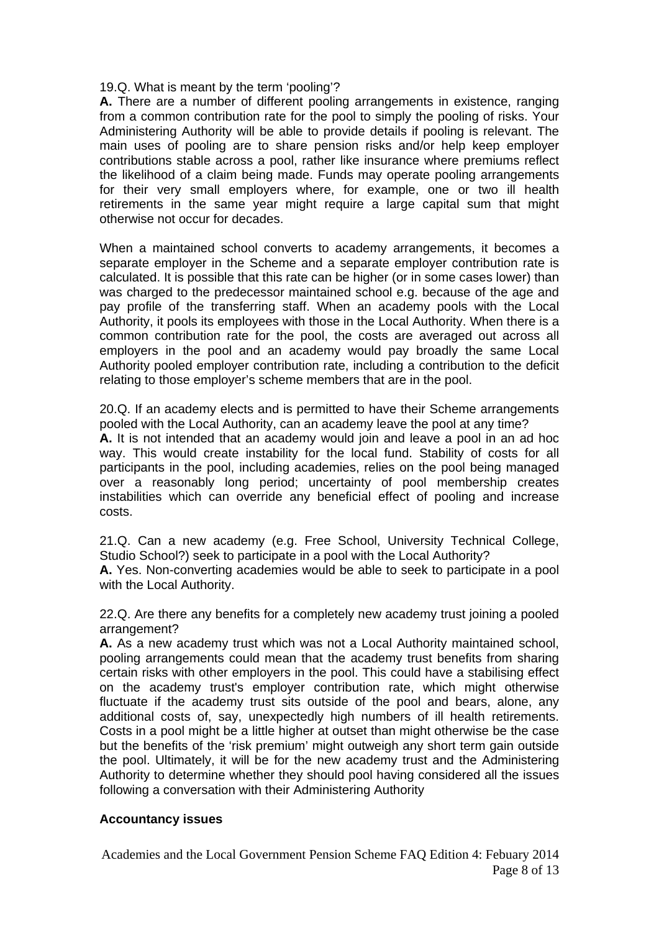19.Q. What is meant by the term 'pooling'?

**A.** There are a number of different pooling arrangements in existence, ranging from a common contribution rate for the pool to simply the pooling of risks. Your Administering Authority will be able to provide details if pooling is relevant. The main uses of pooling are to share pension risks and/or help keep employer contributions stable across a pool, rather like insurance where premiums reflect the likelihood of a claim being made. Funds may operate pooling arrangements for their very small employers where, for example, one or two ill health retirements in the same year might require a large capital sum that might otherwise not occur for decades.

When a maintained school converts to academy arrangements, it becomes a separate employer in the Scheme and a separate employer contribution rate is calculated. It is possible that this rate can be higher (or in some cases lower) than was charged to the predecessor maintained school e.g. because of the age and pay profile of the transferring staff. When an academy pools with the Local Authority, it pools its employees with those in the Local Authority. When there is a common contribution rate for the pool, the costs are averaged out across all employers in the pool and an academy would pay broadly the same Local Authority pooled employer contribution rate, including a contribution to the deficit relating to those employer's scheme members that are in the pool.

20.Q. If an academy elects and is permitted to have their Scheme arrangements pooled with the Local Authority, can an academy leave the pool at any time? **A.** It is not intended that an academy would join and leave a pool in an ad hoc way. This would create instability for the local fund. Stability of costs for all participants in the pool, including academies, relies on the pool being managed over a reasonably long period; uncertainty of pool membership creates instabilities which can override any beneficial effect of pooling and increase costs.

21.Q. Can a new academy (e.g. Free School, University Technical College, Studio School?) seek to participate in a pool with the Local Authority?

**A.** Yes. Non-converting academies would be able to seek to participate in a pool with the Local Authority.

22.Q. Are there any benefits for a completely new academy trust joining a pooled arrangement?

**A.** As a new academy trust which was not a Local Authority maintained school, pooling arrangements could mean that the academy trust benefits from sharing certain risks with other employers in the pool. This could have a stabilising effect on the academy trust's employer contribution rate, which might otherwise fluctuate if the academy trust sits outside of the pool and bears, alone, any additional costs of, say, unexpectedly high numbers of ill health retirements. Costs in a pool might be a little higher at outset than might otherwise be the case but the benefits of the 'risk premium' might outweigh any short term gain outside the pool. Ultimately, it will be for the new academy trust and the Administering Authority to determine whether they should pool having considered all the issues following a conversation with their Administering Authority

### **Accountancy issues**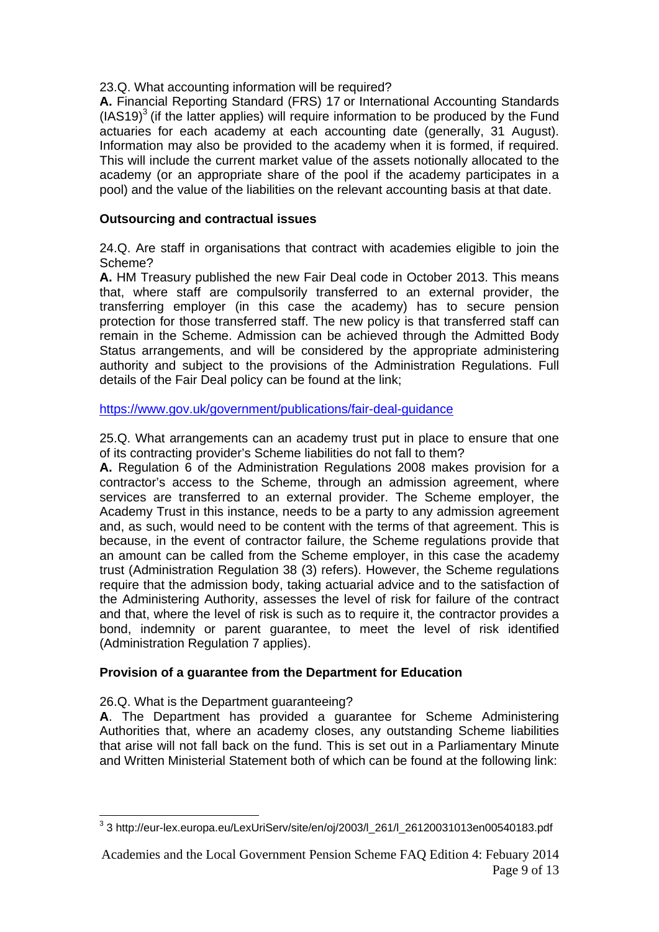23.Q. What accounting information will be required?

**A.** Financial Reporting Standard (FRS) 17 or International Accounting Standards  $(IAS19)<sup>3</sup>$  (if the latter applies) will require information to be produced by the Fund actuaries for each academy at each accounting date (generally, 31 August). Information may also be provided to the academy when it is formed, if required. This will include the current market value of the assets notionally allocated to the academy (or an appropriate share of the pool if the academy participates in a pool) and the value of the liabilities on the relevant accounting basis at that date.

# **Outsourcing and contractual issues**

24.Q. Are staff in organisations that contract with academies eligible to join the Scheme?

**A.** HM Treasury published the new Fair Deal code in October 2013. This means that, where staff are compulsorily transferred to an external provider, the transferring employer (in this case the academy) has to secure pension protection for those transferred staff. The new policy is that transferred staff can remain in the Scheme. Admission can be achieved through the Admitted Body Status arrangements, and will be considered by the appropriate administering authority and subject to the provisions of the Administration Regulations. Full details of the Fair Deal policy can be found at the link;

https://www.gov.uk/government/publications/fair-deal-guidance

25.Q. What arrangements can an academy trust put in place to ensure that one of its contracting provider's Scheme liabilities do not fall to them?

**A.** Regulation 6 of the Administration Regulations 2008 makes provision for a contractor's access to the Scheme, through an admission agreement, where services are transferred to an external provider. The Scheme employer, the Academy Trust in this instance, needs to be a party to any admission agreement and, as such, would need to be content with the terms of that agreement. This is because, in the event of contractor failure, the Scheme regulations provide that an amount can be called from the Scheme employer, in this case the academy trust (Administration Regulation 38 (3) refers). However, the Scheme regulations require that the admission body, taking actuarial advice and to the satisfaction of the Administering Authority, assesses the level of risk for failure of the contract and that, where the level of risk is such as to require it, the contractor provides a bond, indemnity or parent guarantee, to meet the level of risk identified (Administration Regulation 7 applies).

# **Provision of a guarantee from the Department for Education**

26.Q. What is the Department guaranteeing?

**A**. The Department has provided a guarantee for Scheme Administering Authorities that, where an academy closes, any outstanding Scheme liabilities that arise will not fall back on the fund. This is set out in a Parliamentary Minute and Written Ministerial Statement both of which can be found at the following link:

 3 3 http://eur-lex.europa.eu/LexUriServ/site/en/oj/2003/l\_261/l\_26120031013en00540183.pdf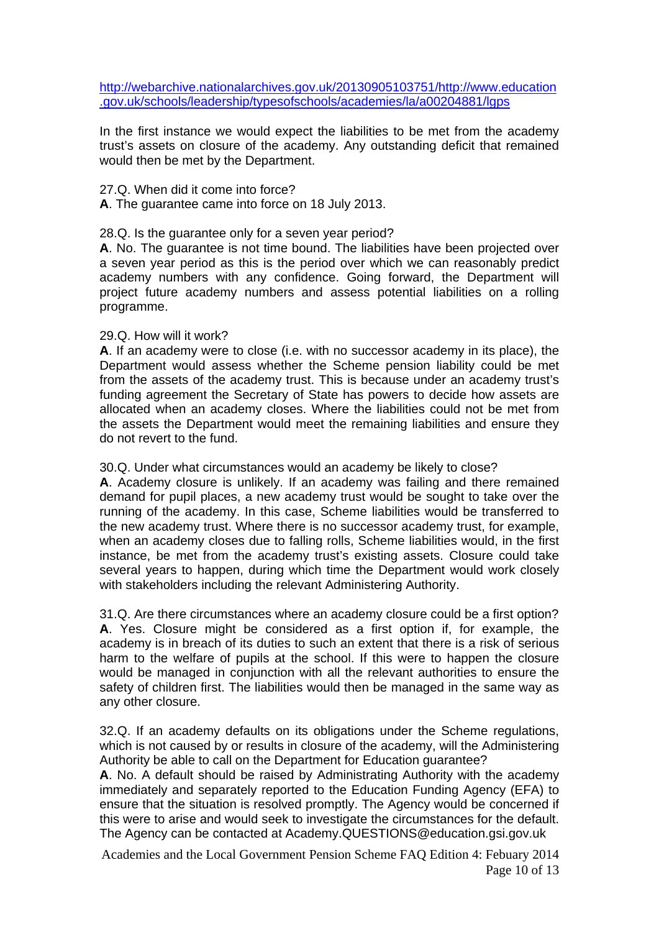http://webarchive.nationalarchives.gov.uk/20130905103751/http://www.education .gov.uk/schools/leadership/typesofschools/academies/la/a00204881/lgps

In the first instance we would expect the liabilities to be met from the academy trust's assets on closure of the academy. Any outstanding deficit that remained would then be met by the Department.

27.Q. When did it come into force?

**A**. The guarantee came into force on 18 July 2013.

28.Q. Is the guarantee only for a seven year period?

**A**. No. The guarantee is not time bound. The liabilities have been projected over a seven year period as this is the period over which we can reasonably predict academy numbers with any confidence. Going forward, the Department will project future academy numbers and assess potential liabilities on a rolling programme.

#### 29.Q. How will it work?

**A**. If an academy were to close (i.e. with no successor academy in its place), the Department would assess whether the Scheme pension liability could be met from the assets of the academy trust. This is because under an academy trust's funding agreement the Secretary of State has powers to decide how assets are allocated when an academy closes. Where the liabilities could not be met from the assets the Department would meet the remaining liabilities and ensure they do not revert to the fund.

30.Q. Under what circumstances would an academy be likely to close?

**A**. Academy closure is unlikely. If an academy was failing and there remained demand for pupil places, a new academy trust would be sought to take over the running of the academy. In this case, Scheme liabilities would be transferred to the new academy trust. Where there is no successor academy trust, for example, when an academy closes due to falling rolls, Scheme liabilities would, in the first instance, be met from the academy trust's existing assets. Closure could take several years to happen, during which time the Department would work closely with stakeholders including the relevant Administering Authority.

31.Q. Are there circumstances where an academy closure could be a first option? **A**. Yes. Closure might be considered as a first option if, for example, the academy is in breach of its duties to such an extent that there is a risk of serious harm to the welfare of pupils at the school. If this were to happen the closure would be managed in conjunction with all the relevant authorities to ensure the safety of children first. The liabilities would then be managed in the same way as any other closure.

32.Q. If an academy defaults on its obligations under the Scheme regulations, which is not caused by or results in closure of the academy, will the Administering Authority be able to call on the Department for Education guarantee?

**A**. No. A default should be raised by Administrating Authority with the academy immediately and separately reported to the Education Funding Agency (EFA) to ensure that the situation is resolved promptly. The Agency would be concerned if this were to arise and would seek to investigate the circumstances for the default. The Agency can be contacted at Academy.QUESTIONS@education.gsi.gov.uk

Academies and the Local Government Pension Scheme FAQ Edition 4: Febuary 2014 Page 10 of 13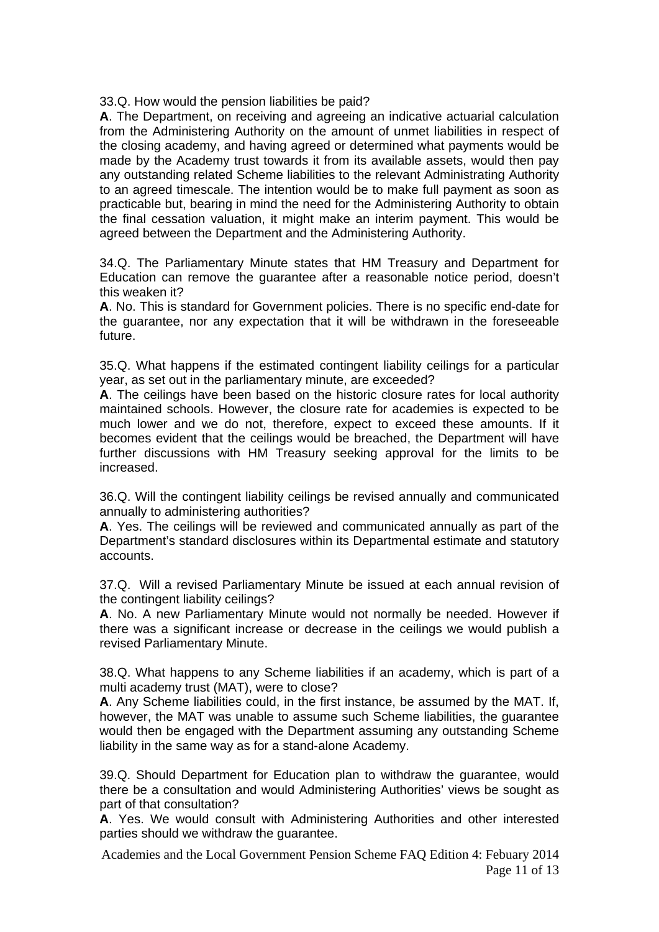33.Q. How would the pension liabilities be paid?

**A**. The Department, on receiving and agreeing an indicative actuarial calculation from the Administering Authority on the amount of unmet liabilities in respect of the closing academy, and having agreed or determined what payments would be made by the Academy trust towards it from its available assets, would then pay any outstanding related Scheme liabilities to the relevant Administrating Authority to an agreed timescale. The intention would be to make full payment as soon as practicable but, bearing in mind the need for the Administering Authority to obtain the final cessation valuation, it might make an interim payment. This would be agreed between the Department and the Administering Authority.

34.Q. The Parliamentary Minute states that HM Treasury and Department for Education can remove the guarantee after a reasonable notice period, doesn't this weaken it?

**A**. No. This is standard for Government policies. There is no specific end-date for the guarantee, nor any expectation that it will be withdrawn in the foreseeable future.

35.Q. What happens if the estimated contingent liability ceilings for a particular year, as set out in the parliamentary minute, are exceeded?

**A**. The ceilings have been based on the historic closure rates for local authority maintained schools. However, the closure rate for academies is expected to be much lower and we do not, therefore, expect to exceed these amounts. If it becomes evident that the ceilings would be breached, the Department will have further discussions with HM Treasury seeking approval for the limits to be increased.

36.Q. Will the contingent liability ceilings be revised annually and communicated annually to administering authorities?

**A**. Yes. The ceilings will be reviewed and communicated annually as part of the Department's standard disclosures within its Departmental estimate and statutory accounts.

37.Q. Will a revised Parliamentary Minute be issued at each annual revision of the contingent liability ceilings?

**A**. No. A new Parliamentary Minute would not normally be needed. However if there was a significant increase or decrease in the ceilings we would publish a revised Parliamentary Minute.

38.Q. What happens to any Scheme liabilities if an academy, which is part of a multi academy trust (MAT), were to close?

**A**. Any Scheme liabilities could, in the first instance, be assumed by the MAT. If, however, the MAT was unable to assume such Scheme liabilities, the guarantee would then be engaged with the Department assuming any outstanding Scheme liability in the same way as for a stand-alone Academy.

39.Q. Should Department for Education plan to withdraw the guarantee, would there be a consultation and would Administering Authorities' views be sought as part of that consultation?

**A**. Yes. We would consult with Administering Authorities and other interested parties should we withdraw the guarantee.

Academies and the Local Government Pension Scheme FAQ Edition 4: Febuary 2014 Page 11 of 13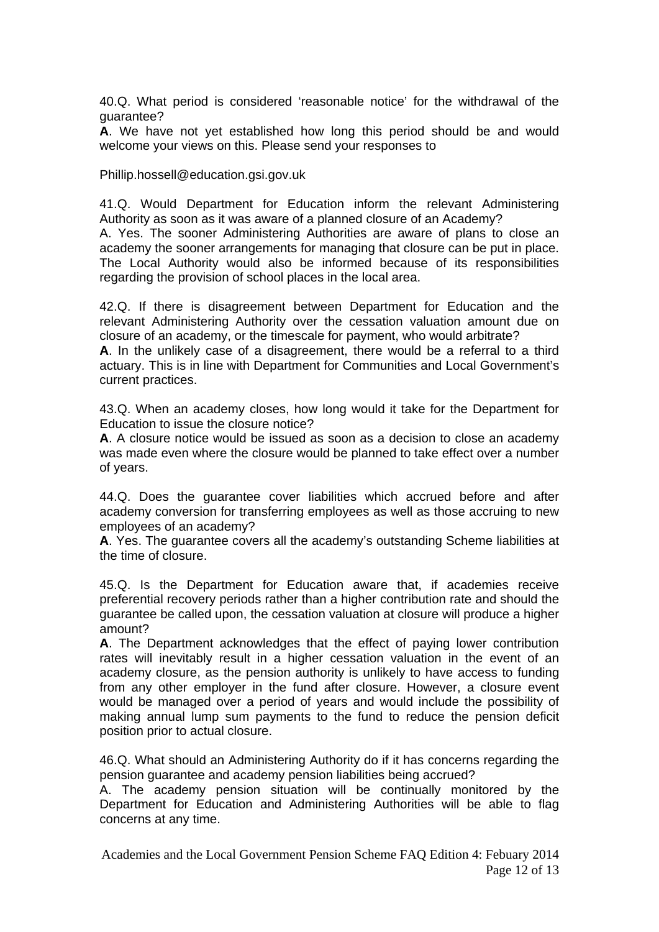40.Q. What period is considered 'reasonable notice' for the withdrawal of the guarantee?

**A**. We have not yet established how long this period should be and would welcome your views on this. Please send your responses to

Phillip.hossell@education.gsi.gov.uk

41.Q. Would Department for Education inform the relevant Administering Authority as soon as it was aware of a planned closure of an Academy?

A. Yes. The sooner Administering Authorities are aware of plans to close an academy the sooner arrangements for managing that closure can be put in place. The Local Authority would also be informed because of its responsibilities regarding the provision of school places in the local area.

42.Q. If there is disagreement between Department for Education and the relevant Administering Authority over the cessation valuation amount due on closure of an academy, or the timescale for payment, who would arbitrate?

**A**. In the unlikely case of a disagreement, there would be a referral to a third actuary. This is in line with Department for Communities and Local Government's current practices.

43.Q. When an academy closes, how long would it take for the Department for Education to issue the closure notice?

**A**. A closure notice would be issued as soon as a decision to close an academy was made even where the closure would be planned to take effect over a number of years.

44.Q. Does the guarantee cover liabilities which accrued before and after academy conversion for transferring employees as well as those accruing to new employees of an academy?

**A**. Yes. The guarantee covers all the academy's outstanding Scheme liabilities at the time of closure.

45.Q. Is the Department for Education aware that, if academies receive preferential recovery periods rather than a higher contribution rate and should the guarantee be called upon, the cessation valuation at closure will produce a higher amount?

**A**. The Department acknowledges that the effect of paying lower contribution rates will inevitably result in a higher cessation valuation in the event of an academy closure, as the pension authority is unlikely to have access to funding from any other employer in the fund after closure. However, a closure event would be managed over a period of years and would include the possibility of making annual lump sum payments to the fund to reduce the pension deficit position prior to actual closure.

46.Q. What should an Administering Authority do if it has concerns regarding the pension guarantee and academy pension liabilities being accrued?

A. The academy pension situation will be continually monitored by the Department for Education and Administering Authorities will be able to flag concerns at any time.

Academies and the Local Government Pension Scheme FAQ Edition 4: Febuary 2014 Page 12 of 13